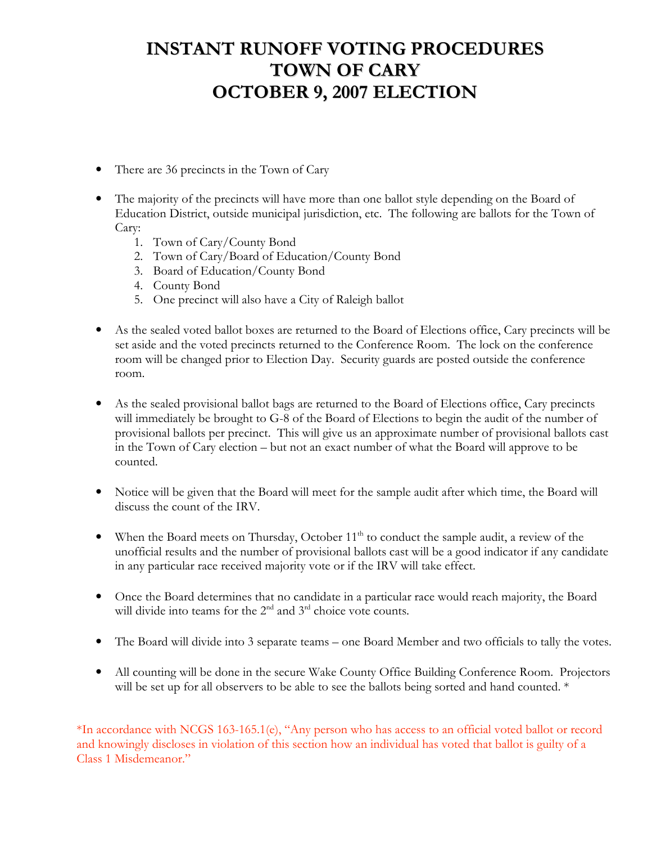# **INSTANT RUNOFF VOTING PROCEDURES TOWN OF CARY OCTOBER 9, 2007 ELECTION**

- There are 36 precincts in the Town of Cary
- The majority of the precincts will have more than one ballot style depending on the Board of Education District, outside municipal jurisdiction, etc. The following are ballots for the Town of Cary:
	- 1. Town of Cary/County Bond
	- 2. Town of Cary/Board of Education/County Bond
	- 3. Board of Education/County Bond
	- 4. County Bond
	- 5. One precinct will also have a City of Raleigh ballot
- As the sealed voted ballot boxes are returned to the Board of Elections office, Cary precincts will be set aside and the voted precincts returned to the Conference Room. The lock on the conference room will be changed prior to Election Day. Security guards are posted outside the conference room.
- As the sealed provisional ballot bags are returned to the Board of Elections office, Cary precincts  $\bullet$ will immediately be brought to G-8 of the Board of Elections to begin the audit of the number of provisional ballots per precinct. This will give us an approximate number of provisional ballots cast in the Town of Cary election – but not an exact number of what the Board will approve to be counted.
- Notice will be given that the Board will meet for the sample audit after which time, the Board will discuss the count of the IRV.
- When the Board meets on Thursday, October  $11<sup>th</sup>$  to conduct the sample audit, a review of the unofficial results and the number of provisional ballots cast will be a good indicator if any candidate in any particular race received majority vote or if the IRV will take effect.
- Once the Board determines that no candidate in a particular race would reach majority, the Board will divide into teams for the  $2<sup>nd</sup>$  and  $3<sup>rd</sup>$  choice vote counts.
- The Board will divide into 3 separate teams one Board Member and two officials to tally the votes.
- All counting will be done in the secure Wake County Office Building Conference Room. Projectors will be set up for all observers to be able to see the ballots being sorted and hand counted. \*

\*In accordance with NCGS 163-165.1(e), "Any person who has access to an official voted ballot or record and knowingly discloses in violation of this section how an individual has voted that ballot is guilty of a Class 1 Misdemeanor."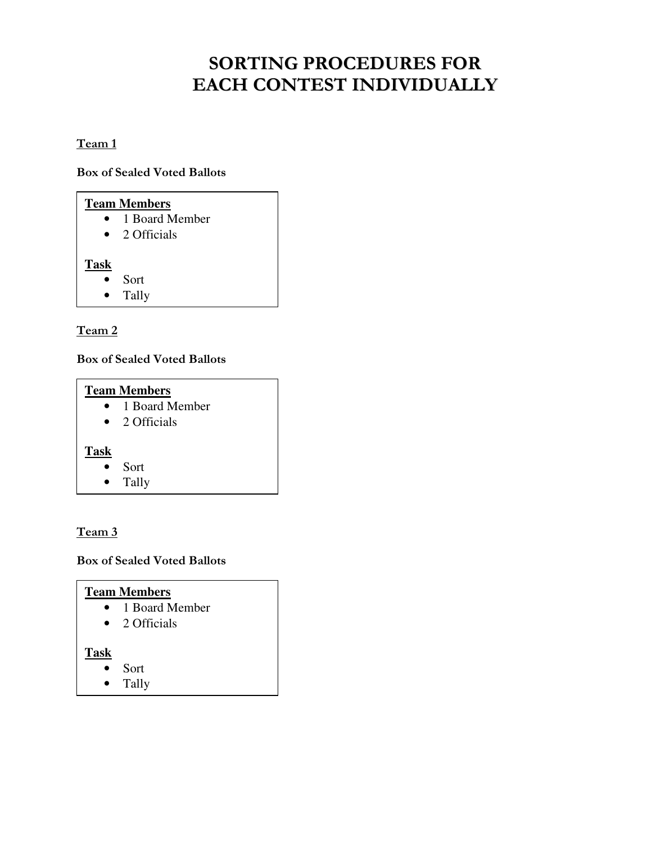# **SORTING PROCEDURES FOR** EACH CONTEST INDIVIDUALLY

# Team 1

**Box of Sealed Voted Ballots** 

| <b>Team Members</b> |                |
|---------------------|----------------|
|                     | 1 Board Member |
|                     | 2 Officials    |
| <b>Task</b>         |                |
|                     | Sort           |
|                     | Tally          |

# Team 2

## **Box of Sealed Voted Ballots**

| <b>Team Members</b> |                |
|---------------------|----------------|
|                     | 1 Board Member |
| $\bullet$           | 2 Officials    |
| <b>Task</b>         | Sort<br>Tally  |

# Team 3

# **Box of Sealed Voted Ballots**

# **Team Members**

- 1 Board Member
- $\bullet$  2 Officials

# **Task**

- Sort  $\bullet$
- $\bullet$ Tally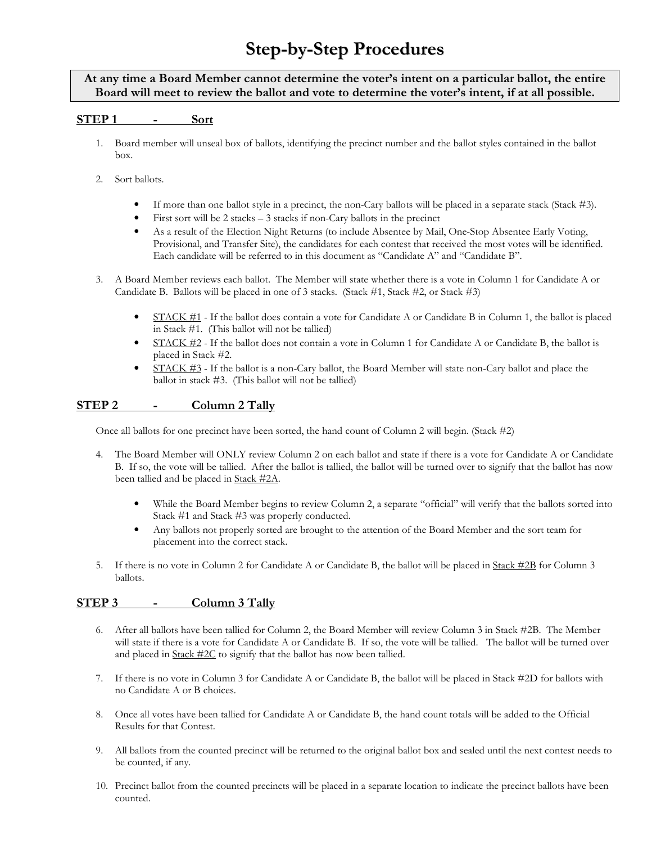# **Step-by-Step Procedures**

### At any time a Board Member cannot determine the voter's intent on a particular ballot, the entire Board will meet to review the ballot and vote to determine the voter's intent, if at all possible.

#### **STEP1** Sort

- 1. Board member will unseal box of ballots, identifying the precinct number and the ballot styles contained in the ballot  $h(x)$
- 2. Sort ballots.
	- $\bullet$ If more than one ballot style in a precinct, the non-Cary ballots will be placed in a separate stack (Stack #3).
	- $\bullet$ First sort will be  $2$  stacks  $-3$  stacks if non-Cary ballots in the precinct
	- $\bullet$ As a result of the Election Night Returns (to include Absentee by Mail, One-Stop Absentee Early Voting, Provisional, and Transfer Site), the candidates for each contest that received the most votes will be identified. Each candidate will be referred to in this document as "Candidate A" and "Candidate B".
- 3. A Board Member reviews each ballot. The Member will state whether there is a vote in Column 1 for Candidate A or Candidate B. Ballots will be placed in one of 3 stacks. (Stack #1, Stack #2, or Stack #3)
	- STACK #1 If the ballot does contain a vote for Candidate A or Candidate B in Column 1, the ballot is placed  $\bullet$ in Stack #1. (This ballot will not be tallied)
	- $\bullet$ STACK  $\#2$  - If the ballot does not contain a vote in Column 1 for Candidate A or Candidate B, the ballot is placed in Stack #2.
	- $\bullet$  $STACK #3$  - If the ballot is a non-Cary ballot, the Board Member will state non-Cary ballot and place the ballot in stack #3. (This ballot will not be tallied)

### **STEP2** Column 2 Tally

Once all ballots for one precinct have been sorted, the hand count of Column 2 will begin. (Stack #2)

- 4. The Board Member will ONLY review Column 2 on each ballot and state if there is a vote for Candidate A or Candidate B. If so, the vote will be tallied. After the ballot is tallied, the ballot will be turned over to signify that the ballot has now been tallied and be placed in Stack #2A.
	- While the Board Member begins to review Column 2, a separate "official" will verify that the ballots sorted into  $\bullet$ Stack #1 and Stack #3 was properly conducted.
	- $\bullet$ Any ballots not properly sorted are brought to the attention of the Board Member and the sort team for placement into the correct stack.
- 5. If there is no vote in Column 2 for Candidate A or Candidate B, the ballot will be placed in Stack #2B for Column 3 ballots.

### STEP<sub>3</sub> Column 3 Tally

- 6. After all ballots have been tallied for Column 2, the Board Member will review Column 3 in Stack #2B. The Member will state if there is a vote for Candidate A or Candidate B. If so, the vote will be tallied. The ballot will be turned over and placed in  $Stack #2C$  to signify that the ballot has now been tallied.
- 7. If there is no vote in Column 3 for Candidate A or Candidate B, the ballot will be placed in Stack #2D for ballots with no Candidate A or B choices.
- 8. Once all votes have been tallied for Candidate A or Candidate B, the hand count totals will be added to the Official Results for that Contest.
- 9. All ballots from the counted precinct will be returned to the original ballot box and sealed until the next contest needs to be counted, if any.
- 10. Precinct ballot from the counted precincts will be placed in a separate location to indicate the precinct ballots have been counted.